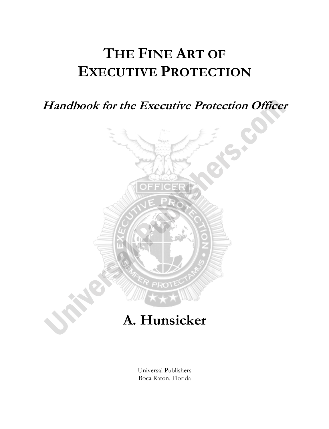# **THE FINE ART OF EXECUTIVE PROTECTION**

**Handbook for the Executive Protection Officer** 



## **A. Hunsicker**

Universal Publishers Boca Raton, Florida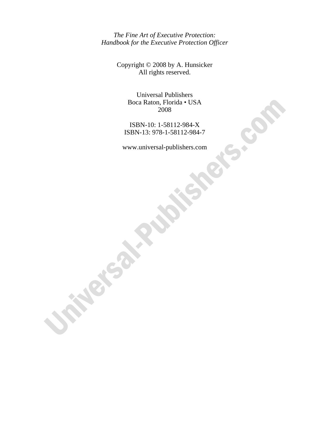*The Fine Art of Executive Protection: Handbook for the Executive Protection Officer* 

> Copyright © 2008 by A. Hunsicker All rights reserved.

> > Universal Publishers Boca Raton, Florida • USA 2008

ISBN-10: 1-58112-984-X ISBN-13: 978-1-58112-984-7

www.universal-publishers.com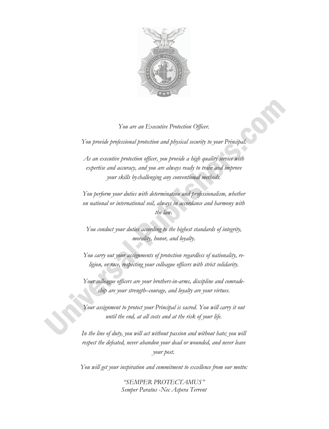

#### *You are an Executive Protection Officer.*

*You provide professional protection and physical security to your Principal.* 

*As an executive protection officer, you provide a high quality service with expertise and accuracy, and you are always ready to train and improve your skills bychallenging any conventional methods.* 

*You perform your duties with determination and professionalism, whether on national or international soil, always in accordance and harmony with the law.* 

*You conduct your duties according to the highest standards of integrity, morality, honor, and loyalty.* 

*You carry out your assignments of protection regardless of nationality, religion, or race, respecting your colleague officers with strict solidarity.* 

*Your colleague officers are your brothers-in-arms, discipline and comradeship are your strength–courage, and loyalty are your virtues.* 

*Your assignment to protect your Principal is sacred. You will carry it out until the end, at all costs and at the risk of your life.* 

In the line of duty, you will act without passion and without hate; you will respect the defeated, never abandon your dead or wounded, and never leave *your post.* 

*You will get your inspiration and commitment to excellence from our motto:* 

*"SEMPER PROTECTAMUS" Semper Paratus* -*Nec Aspera Terrent*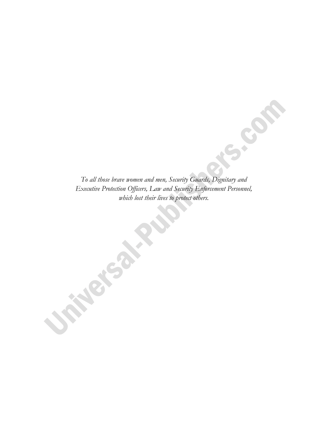*To all those brave women and men, Security Guards, Dignitary and Executive Protection Officers, Law and Security Enforcement Personnel, which lost their lives to protect others.*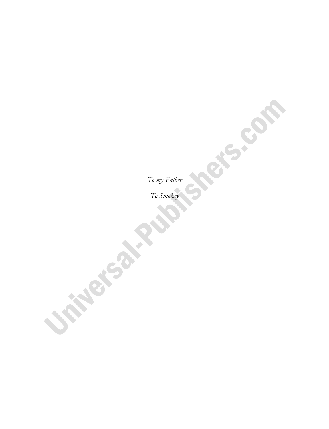*To my Father* 

*To Smokey*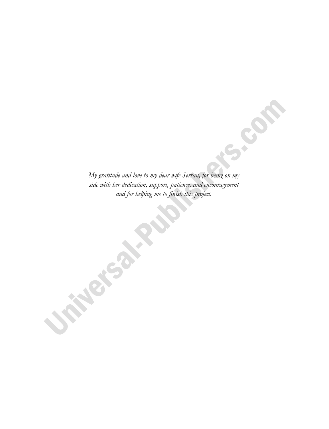*My gratitude and love to my dear wife Serran, for being on my side with her dedication, support, patience, and encouragement and for helping me to finish this project.*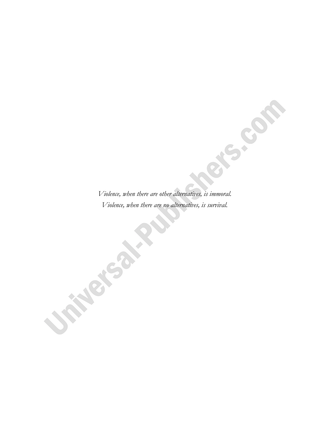*Violence, when there are other alternatives, is immoral. Violence, when there are no alternatives, is survival.*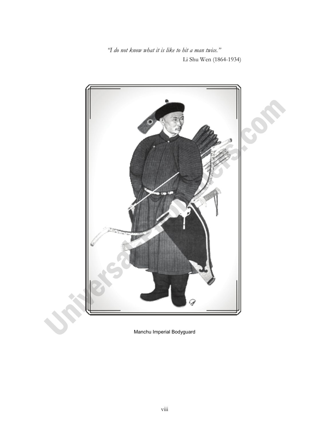*"I do not know what it is like to hit a man twice."*  Li Shu Wen (1864-1934)



Manchu Imperial Bodyguard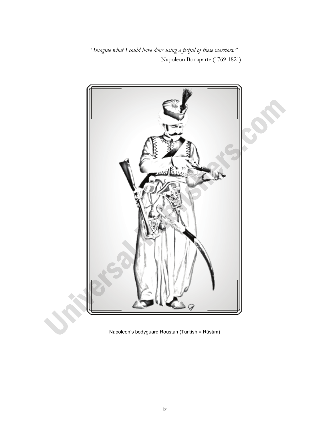*"Imagine what I could have done using a fistful of these warriors."*  Napoleon Bonaparte (1769-1821)



Napoleon's bodyguard Roustan (Turkish = Rüstım)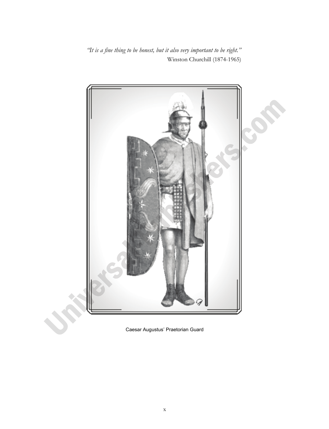*"It is a fine thing to be honest, but it also very important to be right."*  Winston Churchill (1874-1965)



Caesar Augustus' Praetorian Guard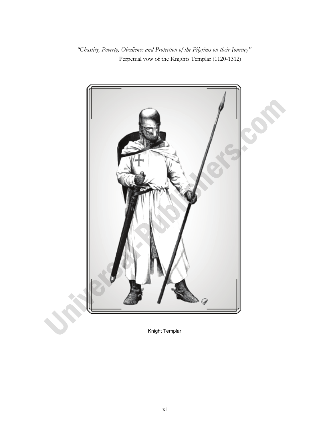*"Chastity, Poverty, Obedience and Protection of the Pilgrims on their Journey"*  Perpetual vow of the Knights Templar (1120-1312)



Knight Templar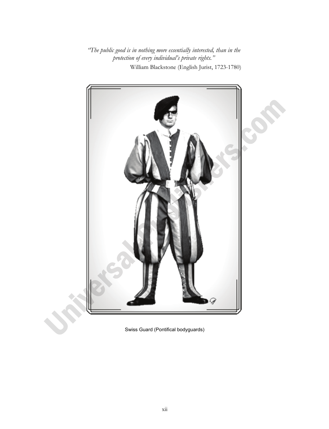*"The public good is in nothing more essentially interested, than in the protection of every individual's private rights."*  William Blackstone (English Jurist, 1723-1780)



Swiss Guard (Pontifical bodyguards)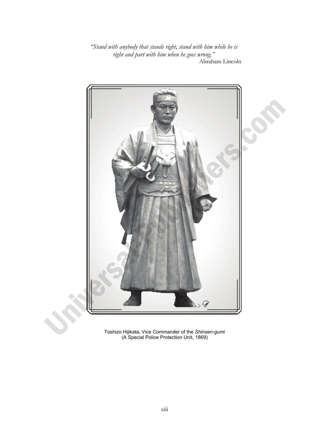*"Stand with anybody that stands right, stand with him while he is right and part with him when he goes wrong."* Abraham Lincoln



Toshizo Hijikata, Vice Commander of the *Shinsen-gumi* (A Special Police Protection Unit, 1869)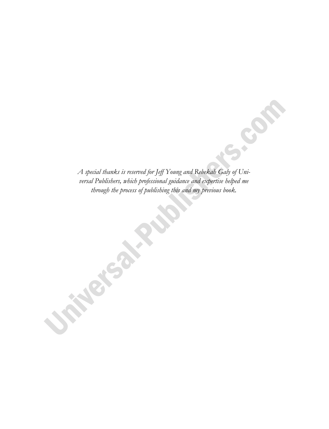*A special thanks is reserved for Jeff Young and Rebekah Galy of Universal Publishers, which professional guidance and expertise helped me through the process of publishing this and my previous book.*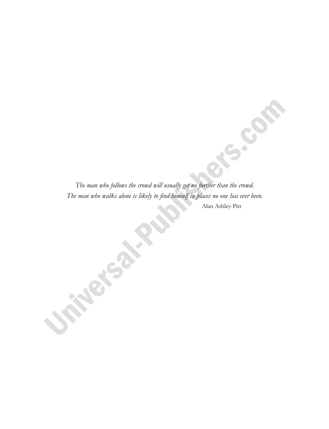*The man who follows the crowd will usually get no further than the crowd. The man who walks alone is likely to find himself in places no one has ever been.*  Alan Ashley-Pitt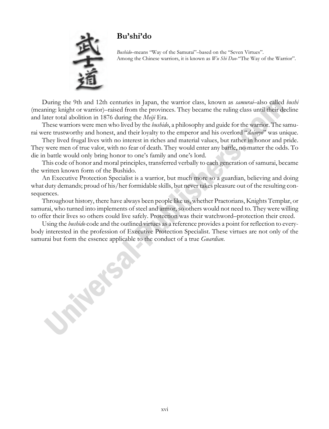

#### **Bu'shi'do**

 *Bushido*–means "Way of the Samurai"–based on the "Seven Virtues". Among the Chinese warriors, it is known as *Wu Shi Dao*-"The Way of the Warrior".

During the 9th and 12th centuries in Japan, the warrior class, known as *samurai*–also called *bushi* (meaning: knight or warrior)–raised from the provinces. They became the ruling class until their decline and later total abolition in 1876 during the *Meiji* Era.

These warriors were men who lived by the *bushido*, a philosophy and guide for the warrior. The samurai were trustworthy and honest, and their loyalty to the emperor and his overlord "*daimyo*" was unique.

They lived frugal lives with no interest in riches and material values, but rather in honor and pride. They were men of true valor, with no fear of death. They would enter any battle, no matter the odds. To die in battle would only bring honor to one's family and one's lord.

This code of honor and moral principles, transferred verbally to each generation of samurai, became the written known form of the Bushido.

An Executive Protection Specialist is a warrior, but much more so a guardian, believing and doing what duty demands; proud of his/her formidable skills, but never takes pleasure out of the resulting consequences.

Throughout history, there have always been people like us, whether Praetorians, Knights Templar, or samurai, who turned into implements of steel and armor, so others would not need to. They were willing to offer their lives so others could live safely. Protection was their watchword–protection their creed.

Using the *bushido* code and the outlined virtues as a reference provides a point for reflection to everybody interested in the profession of Executive Protection Specialist. These virtues are not only of the samurai but form the essence applicable to the conduct of a true *Guardian*.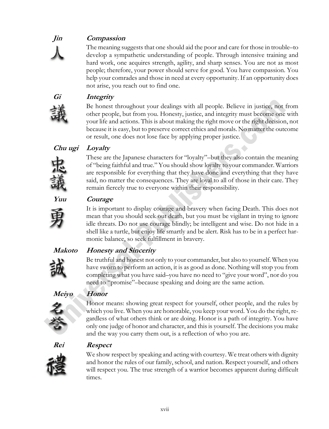### **Jin Compassion**

The meaning suggests that one should aid the poor and care for those in trouble–to develop a sympathetic understanding of people. Through intensive training and hard work, one acquires strength, agility, and sharp senses. You are not as most people; therefore, your power should serve for good. You have compassion. You help your comrades and those in need at every opportunity. If an opportunity does not arise, you reach out to find one.



 **Gi Integrity**

Be honest throughout your dealings with all people. Believe in justice, not from other people, but from you. Honesty, justice, and integrity must become one with your life and actions. This is about making the right move or the right decision, not because it is easy, but to preserve correct ethics and morals. No matter the outcome or result, one does not lose face by applying proper justice.

#### **Chu ugi Loyalty**



These are the Japanese characters for "loyalty"–but they also contain the meaning of "being faithful and true." You should show loyalty to your commander. Warriors are responsible for everything that they have done and everything that they have said, no matter the consequences. They are loyal to all of those in their care. They remain fiercely true to everyone within their responsibility.



#### **Yuu Courage**

It is important to display courage and bravery when facing Death. This does not mean that you should seek out death, but you must be vigilant in trying to ignore idle threats. Do not use courage blindly; be intelligent and wise. Do not hide in a shell like a turtle, but enjoy life smartly and be alert. Risk has to be in a perfect harmonic balance, so seek fulfillment in bravery.

#### **Makoto Honesty and Sincerity**



Be truthful and honest not only to your commander, but also to yourself. When you have sworn to perform an action, it is as good as done. Nothing will stop you from completing what you have said–you have no need to "give your word", nor do you

need to "promise"–because speaking and doing are the same action.

#### **Meiyo Honor**



Honor means: showing great respect for yourself, other people, and the rules by which you live. When you are honorable, you keep your word. You do the right, regardless of what others think or are doing. Honor is a path of integrity. You have only one judge of honor and character, and this is yourself. The decisions you make and the way you carry them out, is a reflection of who you are.



#### **Rei Respect**



We show respect by speaking and acting with courtesy. We treat others with dignity and honor the rules of our family, school, and nation. Respect yourself, and others will respect you. The true strength of a warrior becomes apparent during difficult times.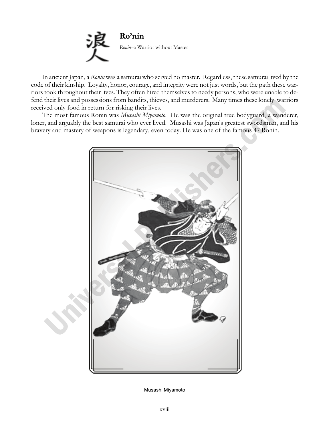

In ancient Japan, a *Ronin* was a samurai who served no master. Regardless, these samurai lived by the code of their kinship. Loyalty, honor, courage, and integrity were not just words, but the path these warriors took throughout their lives. They often hired themselves to needy persons, who were unable to defend their lives and possessions from bandits, thieves, and murderers. Many times these lonely warriors received only food in return for risking their lives.

The most famous Ronin was *Musashi Miyamoto*. He was the original true bodyguard, a wanderer, loner, and arguably the best samurai who ever lived. Musashi was Japan's greatest swordsman, and his bravery and mastery of weapons is legendary, even today. He was one of the famous 47 Ronin.



Musashi Miyamoto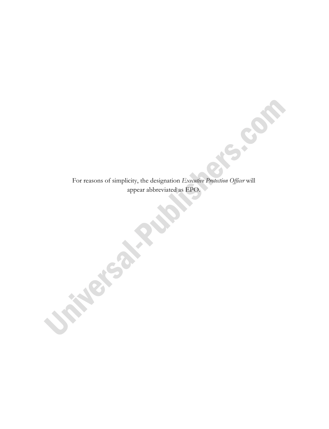For reasons of simplicity, the designation *Executive Protection Officer* will appear abbreviated as EPO.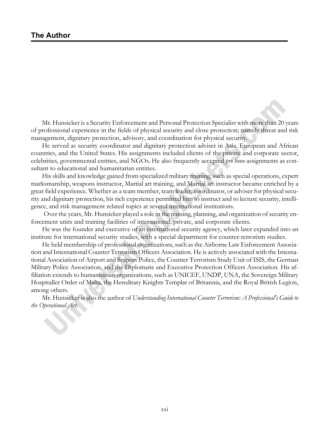Mr. Hunsicker is a Security Enforcement and Personal Protection Specialist with more than 20 years of professional experience in the fields of physical security and close protection; namely threat and risk management, dignitary protection, advisory, and coordination for physical security.

He served as security coordinator and dignitary protection adviser in Asia, European and African countries, and the United States. His assignments included clients of the private and corporate sector, celebrities, governmental entities, and NGOs. He also frequently accepted *pro bono* assignments as consultant to educational and humanitarian entities.

His skills and knowledge gained from specialized military training, such as special operations, expert marksmanship, weapons instructor, Martial art training, and Martial art instructor became enriched by a great field experience. Whether as a team member, team leader, coordinator, or adviser for physical security and dignitary protection, his rich experience permitted him to instruct and to lecture security, intelligence, and risk management related topics at several international institutions.

 Over the years, Mr. Hunsicker played a role in the training, planning, and organization of security enforcement units and training facilities of international, private, and corporate clients.

He was the founder and executive of an international security agency, which later expanded into an institute for international security studies, with a special department for counter-terrorism studies.

He held membership of professional organizations, such as the Airborne Law Enforcement Association and International Counter Terrorism Officers Association. He is actively associated with the International Association of Airport and Seaport Police, the Counter Terrorism Study Unit of ISIS, the German Military Police Association, and the Diplomatic and Executive Protection Officers Association. His affiliation extends to humanitarian organizations, such as UNICEF, UNDP, UNA, the Sovereign Military Hospitaller Order of Malta, the Hereditary Knights Templar of Britannia, and the Royal British Legion, among others.

Mr. Hunsicker is also the author of *Understanding International Counter Terrorism: A Professional's Guide to the Operational Art.*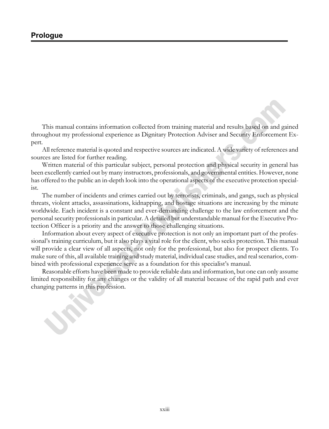This manual contains information collected from training material and results based on and gained throughout my professional experience as Dignitary Protection Adviser and Security Enforcement Expert*.* 

All reference material is quoted and respective sources are indicated. A wide variety of references and sources are listed for further reading.

Written material of this particular subject, personal protection and physical security in general has been excellently carried out by many instructors, professionals, and governmental entities. However, none has offered to the public an in-depth look into the operational aspects of the executive protection specialist.

The number of incidents and crimes carried out by terrorists, criminals, and gangs, such as physical threats, violent attacks, assassinations, kidnapping, and hostage situations are increasing by the minute worldwide. Each incident is a constant and ever-demanding challenge to the law enforcement and the personal security professionals in particular. A detailed but understandable manual for the Executive Protection Officer is a priority and the answer to those challenging situations.

Information about every aspect of executive protection is not only an important part of the professional's training curriculum, but it also plays a vital role for the client, who seeks protection. This manual will provide a clear view of all aspects, not only for the professional, but also for prospect clients. To make sure of this, all available training and study material, individual case studies, and real scenarios, combined with professional experience serve as a foundation for this specialist's manual.

Reasonable efforts have been made to provide reliable data and information, but one can only assume limited responsibility for any changes or the validity of all material because of the rapid path and ever changing patterns in this profession.